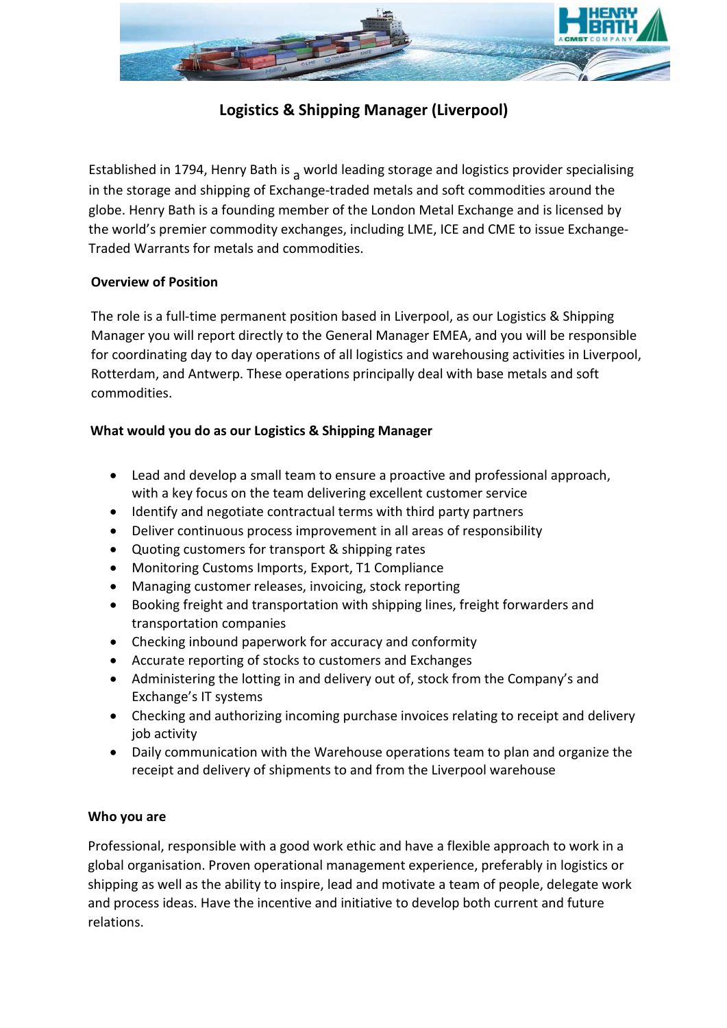

# **Logistics & Shipping Manager (Liverpool)**

Established in 1794, Henry Bath is  $\alpha$  world leading storage and logistics provider specialising in the storage and shipping of Exchange-traded metals and soft commodities around the globe. Henry Bath is a founding member of the London Metal Exchange and is licensed by the world's premier commodity exchanges, including LME, ICE and CME to issue Exchange-Traded Warrants for metals and commodities.

## **Overview of Position**

The role is a full-time permanent position based in Liverpool, as our Logistics & Shipping Manager you will report directly to the General Manager EMEA, and you will be responsible for coordinating day to day operations of all logistics and warehousing activities in Liverpool, Rotterdam, and Antwerp. These operations principally deal with base metals and soft commodities.

## **What would you do as our Logistics & Shipping Manager**

- Lead and develop a small team to ensure a proactive and professional approach, with a key focus on the team delivering excellent customer service
- Identify and negotiate contractual terms with third party partners
- Deliver continuous process improvement in all areas of responsibility
- Quoting customers for transport & shipping rates
- Monitoring Customs Imports, Export, T1 Compliance
- Managing customer releases, invoicing, stock reporting
- Booking freight and transportation with shipping lines, freight forwarders and transportation companies
- Checking inbound paperwork for accuracy and conformity
- Accurate reporting of stocks to customers and Exchanges
- Administering the lotting in and delivery out of, stock from the Company's and Exchange's IT systems
- Checking and authorizing incoming purchase invoices relating to receipt and delivery job activity
- Daily communication with the Warehouse operations team to plan and organize the receipt and delivery of shipments to and from the Liverpool warehouse

# **Who you are**

Professional, responsible with a good work ethic and have a flexible approach to work in a global organisation. Proven operational management experience, preferably in logistics or shipping as well as the ability to inspire, lead and motivate a team of people, delegate work and process ideas. Have the incentive and initiative to develop both current and future relations.